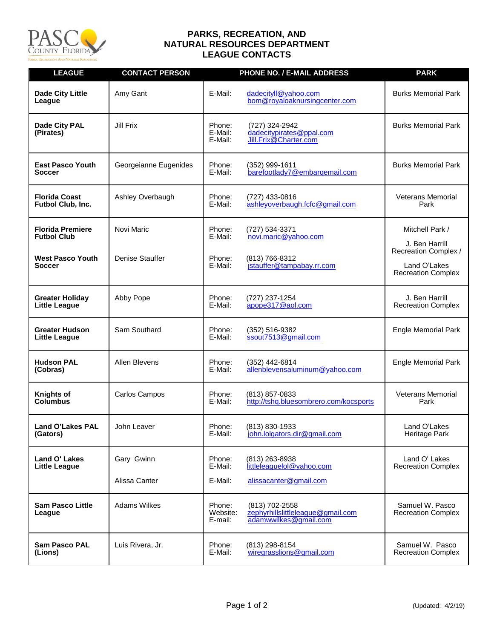

## **PARKS, RECREATION, AND NATURAL RESOURCES DEPARTMENT LEAGUE CONTACTS**

| <b>LEAGUE</b>                                                                      | <b>CONTACT PERSON</b>         |                                        | PHONE NO. / E-MAIL ADDRESS                                                            | <b>PARK</b>                                                                                            |
|------------------------------------------------------------------------------------|-------------------------------|----------------------------------------|---------------------------------------------------------------------------------------|--------------------------------------------------------------------------------------------------------|
| <b>Dade City Little</b><br>League                                                  | Amy Gant                      | E-Mail:                                | dadecityll@yahoo.com<br>bom@royaloaknursingcenter.com                                 | <b>Burks Memorial Park</b>                                                                             |
| Dade City PAL<br>(Pirates)                                                         | Jill Frix                     | Phone:<br>E-Mail:<br>E-Mail:           | (727) 324-2942<br>dadecitypirates@ppal.com<br>Jill.Frix@Charter.com                   | <b>Burks Memorial Park</b>                                                                             |
| <b>East Pasco Youth</b><br>Soccer                                                  | Georgeianne Eugenides         | Phone:<br>E-Mail:                      | (352) 999-1611<br>barefootlady7@embargemail.com                                       | <b>Burks Memorial Park</b>                                                                             |
| <b>Florida Coast</b><br>Futbol Club, Inc.                                          | Ashley Overbaugh              | Phone:<br>E-Mail:                      | (727) 433-0816<br>ashleyoverbaugh.fcfc@gmail.com                                      | <b>Veterans Memorial</b><br>Park                                                                       |
| <b>Florida Premiere</b><br><b>Futbol Club</b><br><b>West Pasco Youth</b><br>Soccer | Novi Maric<br>Denise Stauffer | Phone:<br>E-Mail:<br>Phone:<br>E-Mail: | (727) 534-3371<br>novi.maric@yahoo.com<br>(813) 766-8312<br>jstauffer@tampabay.rr.com | Mitchell Park /<br>J. Ben Harrill<br>Recreation Complex /<br>Land O'Lakes<br><b>Recreation Complex</b> |
| <b>Greater Holiday</b><br><b>Little League</b>                                     | Abby Pope                     | Phone:<br>E-Mail:                      | (727) 237-1254<br>apope317@aol.com                                                    | J. Ben Harrill<br><b>Recreation Complex</b>                                                            |
| <b>Greater Hudson</b><br><b>Little League</b>                                      | Sam Southard                  | Phone:<br>E-Mail:                      | (352) 516-9382<br>ssout7513@gmail.com                                                 | <b>Engle Memorial Park</b>                                                                             |
| <b>Hudson PAL</b><br>(Cobras)                                                      | <b>Allen Blevens</b>          | Phone:<br>E-Mail:                      | (352) 442-6814<br>allenblevensaluminum@yahoo.com                                      | <b>Engle Memorial Park</b>                                                                             |
| <b>Knights of</b><br>Columbus                                                      | Carlos Campos                 | Phone:<br>E-Mail:                      | (813) 857-0833<br>http://tshq.bluesombrero.com/kocsports                              | <b>Veterans Memorial</b><br>Park                                                                       |
| Land O'Lakes PAL<br>(Gators)                                                       | John Leaver                   | Phone:<br>E-Mail:                      | $(813) 830 - 1933$<br>john.lolgators.dir@gmail.com                                    | Land O'Lakes<br>Heritage Park                                                                          |
| Land O' Lakes<br>Little League                                                     | Gary Gwinn<br>Alissa Canter   | Phone:<br>E-Mail:<br>E-Mail:           | (813) 263-8938<br>littleleaguelol@yahoo.com<br>alissacanter@gmail.com                 | Land O' Lakes<br><b>Recreation Complex</b>                                                             |
| <b>Sam Pasco Little</b><br>League                                                  | <b>Adams Wilkes</b>           | Phone:<br>Website:<br>E-mail:          | (813) 702-2558<br>zephyrhillslittleleague@gmail.com<br>adamwwilkes@gmail.com          | Samuel W. Pasco<br><b>Recreation Complex</b>                                                           |
| <b>Sam Pasco PAL</b><br>(Lions)                                                    | Luis Rivera, Jr.              | Phone:<br>E-Mail:                      | (813) 298-8154<br>wiregrasslions@gmail.com                                            | Samuel W. Pasco<br><b>Recreation Complex</b>                                                           |